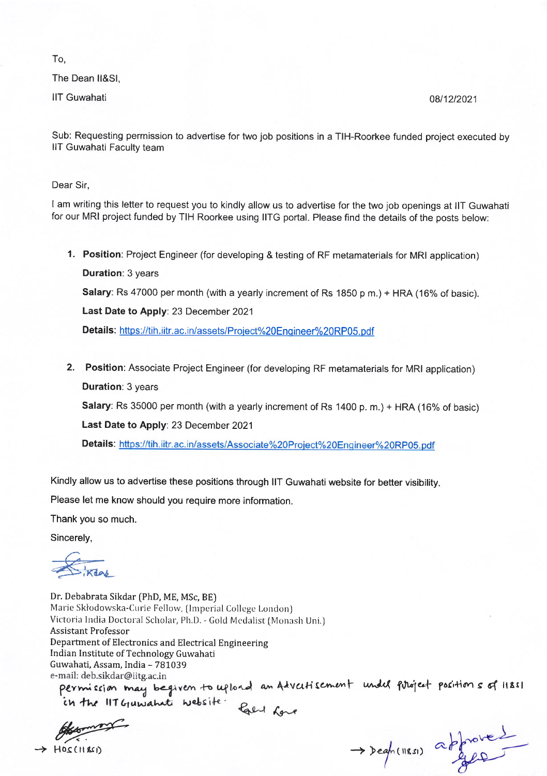To,

The Dean ll&Sl,

llT Guwahati 08112t2021

Sub: Requesting permission to advertise for two job positions in a TIH-Roorkee funded project executed by llT Guwahati Faculty team

Dear Sir,

I am writing this letter to request you to kindly allow us to advertise for the two job openings at llT Guwahati for our MRI project funded by TIH Roorkee using IITG portal. Please find the details of the posts below:

- 1. Position: Project Engineer (for developing & testing of RF metamaterials for MRI application) **Duration: 3 years** Salary: Rs 47000 per month (with a yearly increment of Rs 1850 p m.) + HRA (16% of basic). Last Date to Apply: 23 December 2021 Details: https://tih.iitr.ac.in/assets/Project%20Engineer%20RP05.pdf
- 2. Position: Associate Project Engineer (for developing RF metamaterials for MRI application) **Duration: 3 years**

Salary: Rs 35000 per month (with a yearly increment of Rs 1400 p. m.) + HRA (16% of basic)

Last Date to Apply: 23 December 2021

Details: https://tih.iitr.ac.in/assets/Associate%20Project%20Engineer%20RP05.pdf

Kindly allow us to advertise these positions through IIT Guwahati website for better visibility.

Please let me know should you require more information.

Thank you so much.

Sincerely,

 $\frac{1}{\sqrt{2}}$  iki

Dr. Debabrata Sikdar (PhD, ME, MSc, BE) Marie Skłodowska-Curie Fellow, (Imperial College London) Victoria lndia Doctoral Scholar, Ph.D. - Gold Mcdalist [Monash Uni.) Assistant Professor Department of Electronics and Electrical Engineering Indian Institute of Technology Guwahati Guwahati, Assam, India – 781039<br>e-mail: deb.sikdar@iitg.ac.in

vurtisement undel project positions of 11851 ffi <sup>a</sup>

 $\rightarrow$  Hosciliser)  $\rightarrow$  Degh(11851) approved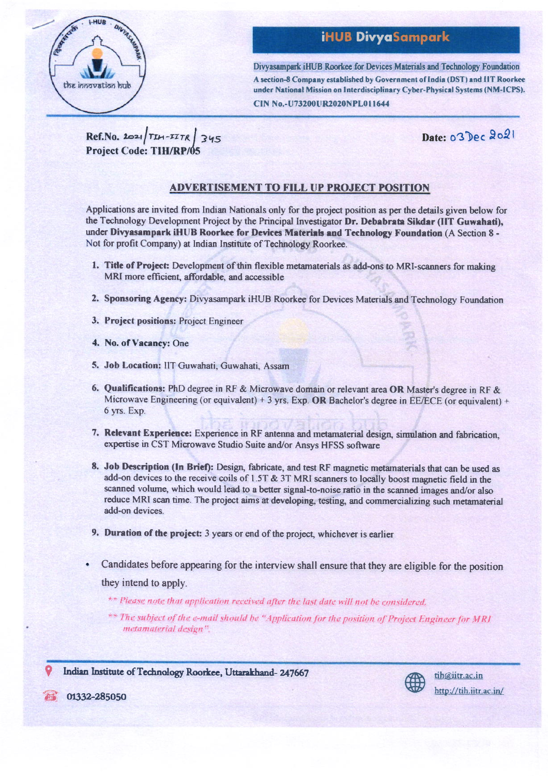

# **iHUB DivyaSampark**

Divyasampark iHUB Roorkee for Devices Materials and Technology Foundation A section-8 Company established by Government of India (DST) and IIT Roorkee under National Mission on Interdisciplinary Cyber-Physical Systems (NM-ICPS).

CIN No.-U73200UR2020NPL011644

 $Ref.N0.2021|TH-TITR|345$ **Project Code: TIH/RP/05** 

Date: 03 Dec 2021

#### **ADVERTISEMENT TO FILL UP PROJECT POSITION**

Applications are invited from Indian Nationals only for the project position as per the details given below for the Technology Development Project by the Principal Investigator Dr. Debabrata Sikdar (IIT Guwahati), under Divyasampark iHUB Roorkee for Devices Materials and Technology Foundation (A Section 8 -Not for profit Company) at Indian Institute of Technology Roorkee.

- 1. Title of Project: Development of thin flexible metamaterials as add-ons to MRI-scanners for making MRI more efficient, affordable, and accessible
- 2. Sponsoring Agency: Divyasampark iHUB Roorkee for Devices Materials and Technology Foundation
- 3. Project positions: Project Engineer
- 4. No. of Vacancy: One
- 5. Job Location: IIT Guwahati, Guwahati, Assam
- 6. Qualifications: PhD degree in RF & Microwave domain or relevant area OR Master's degree in RF & Microwave Engineering (or equivalent) + 3 yrs. Exp. OR Bachelor's degree in EE/ECE (or equivalent) + 6 yrs. Exp.
- 7. Relevant Experience: Experience in RF antenna and metamaterial design, simulation and fabrication, expertise in CST Microwave Studio Suite and/or Ansys HFSS software
- 8. Job Description (In Brief): Design, fabricate, and test RF magnetic metamaterials that can be used as add-on devices to the receive coils of 1.5T & 3T MRI scanners to locally boost magnetic field in the scanned volume, which would lead to a better signal-to-noise ratio in the scanned images and/or also reduce MRI scan time. The project aims at developing, testing, and commercializing such metamaterial add-on devices.
- 9. Duration of the project: 3 years or end of the project, whichever is earlier
- Candidates before appearing for the interview shall ensure that they are eligible for the position they intend to apply.
	- \*\* Please note that application received after the last date will not be considered.
	- \*\* The subject of the e-mail should be "Application for the position of Project Engineer for MRI metamaterial design".

Indian Institute of Technology Roorkee, Uttarakhand-247667

01332-285050

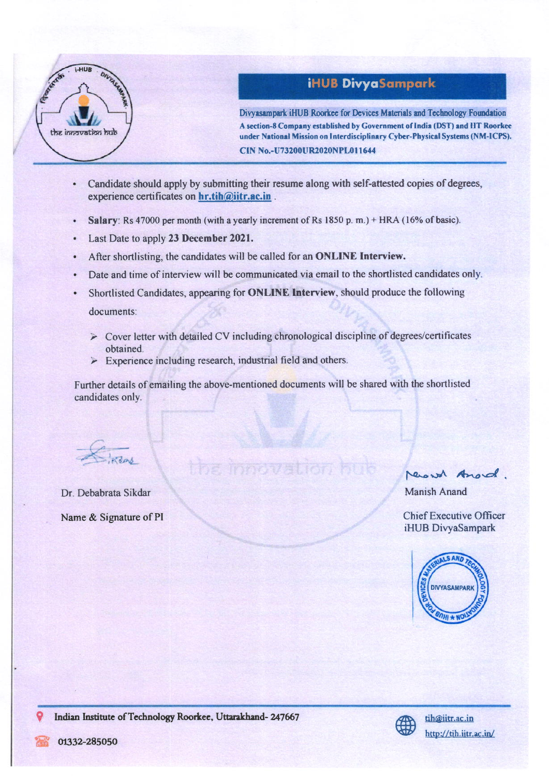

### iHUB DivyaSampark

Divyasampark iHUB Roorkee for Devices Materials and Technology Foundation A section-8 Company established by Government of India (DST) and HT Roorkee under National Mission on Interdisciplinary Cyber-Physical Systems (NM-ICPS). CIN No.-U73200UR2020NPL011644

- Candidate should apply by submitting their resume along with self-attested copies of degrees, experience certificates on hr.tih@iitr.ac.in.
- Salary: Rs 47000 per month (with a yearly increment of Rs 1850 p.m.) + HRA (16% of basic).
- Last Date to apply 23 December 2021.
- After shortlisting, the candidates will be called for an ONLINE Interview.
- Date and time of interview will be communicated via email to the shortlisted candidates only.
- Shortlisted Candidates, appearing for ONLINE Interview, should produce the following documents:
	- $\triangleright$  Cover letter with detailed CV including chronological discipline of degrees/certificates obtained.<br>  $\geq$  Experience including research, industrial field and others.
	-

Further details of emailing the above-mentioned documents will be shared with the shortlisted candidates only.

the innovation

Dr. Debabrata Sikdar Manish Anand

record Anord.

Name & Signature of PI Chief Executive Officer iHUB DivyaSampark